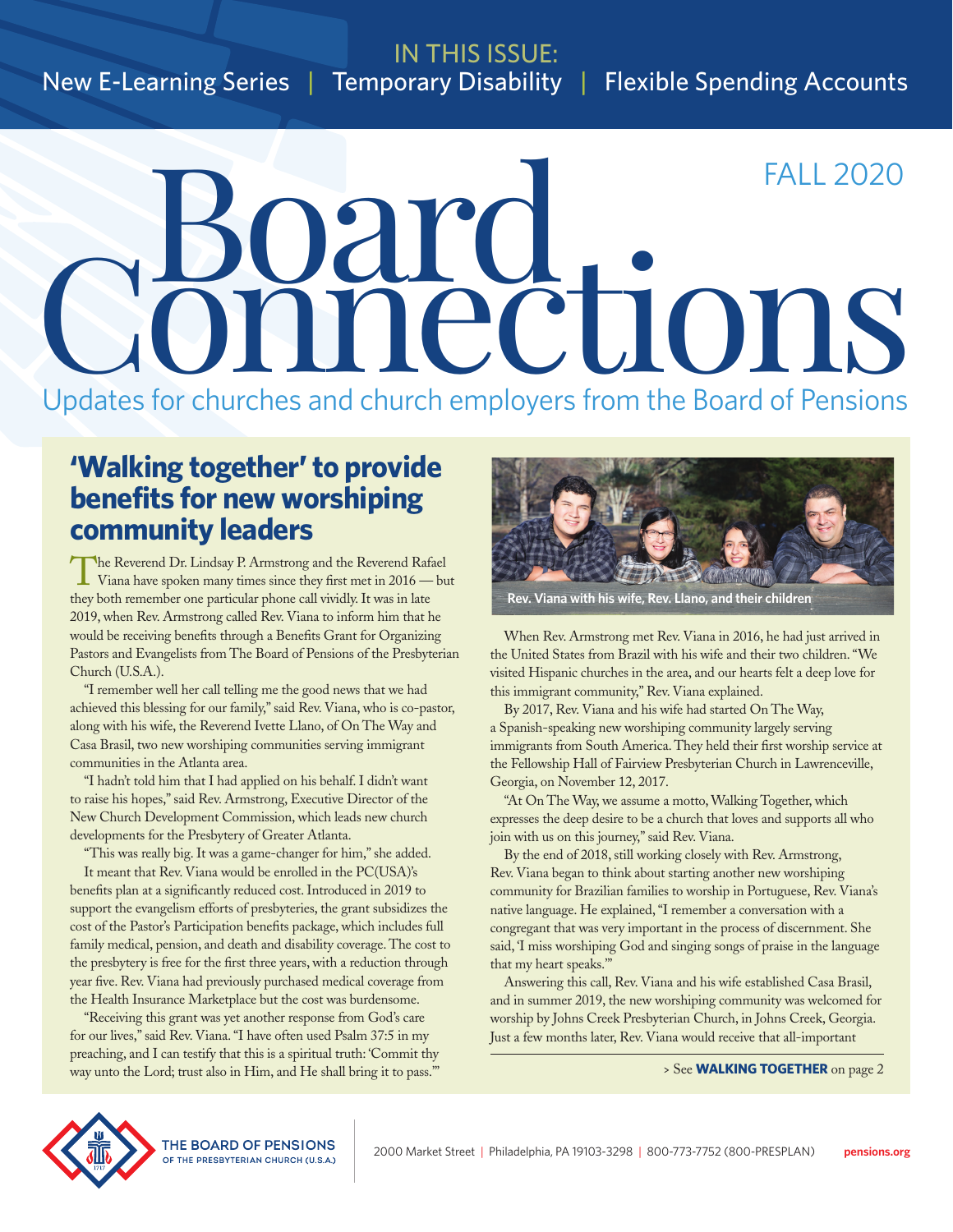# IN THIS ISSUE: New E-Learning Series | Temporary Disability | Flexible Spending Accounts

# äry.<br>nections FALL 2020

Updates for churches and church employers from the Board of Pensions

# **'Walking together' to provide benefits for new worshiping community leaders**

The Reverend Dr. Lindsay P. Armstrong and the Reverend Rafael<br>Viana have spoken many times since they first met in 2016 — but they both remember one particular phone call vividly. It was in late 2019, when Rev. Armstrong called Rev. Viana to inform him that he would be receiving benefits through a Benefits Grant for Organizing Pastors and Evangelists from The Board of Pensions of the Presbyterian Church (U.S.A.).

"I remember well her call telling me the good news that we had achieved this blessing for our family," said Rev. Viana, who is co-pastor, along with his wife, the Reverend Ivette Llano, of On The Way and Casa Brasil, two new worshiping communities serving immigrant communities in the Atlanta area.

"I hadn't told him that I had applied on his behalf. I didn't want to raise his hopes," said Rev. Armstrong, Executive Director of the New Church Development Commission, which leads new church developments for the Presbytery of Greater Atlanta.

"This was really big. It was a game-changer for him," she added.

It meant that Rev. Viana would be enrolled in the PC(USA)'s benefits plan at a significantly reduced cost. Introduced in 2019 to support the evangelism efforts of presbyteries, the grant subsidizes the cost of the Pastor's Participation benefits package, which includes full family medical, pension, and death and disability coverage. The cost to the presbytery is free for the first three years, with a reduction through year five. Rev. Viana had previously purchased medical coverage from the Health Insurance Marketplace but the cost was burdensome.

"Receiving this grant was yet another response from God's care for our lives," said Rev. Viana. "I have often used Psalm 37:5 in my preaching, and I can testify that this is a spiritual truth: 'Commit thy way unto the Lord; trust also in Him, and He shall bring it to pass.'"



**Rev. Viana with his wife, Rev. Llano, and their children**

When Rev. Armstrong met Rev. Viana in 2016, he had just arrived in the United States from Brazil with his wife and their two children. "We visited Hispanic churches in the area, and our hearts felt a deep love for this immigrant community," Rev. Viana explained.

By 2017, Rev. Viana and his wife had started On The Way, a Spanish-speaking new worshiping community largely serving immigrants from South America. They held their first worship service at the Fellowship Hall of Fairview Presbyterian Church in Lawrenceville, Georgia, on November 12, 2017.

"At On The Way, we assume a motto, Walking Together, which expresses the deep desire to be a church that loves and supports all who join with us on this journey," said Rev. Viana.

By the end of 2018, still working closely with Rev. Armstrong, Rev. Viana began to think about starting another new worshiping community for Brazilian families to worship in Portuguese, Rev. Viana's native language. He explained, "I remember a conversation with a congregant that was very important in the process of discernment. She said, 'I miss worshiping God and singing songs of praise in the language that my heart speaks.'"

Answering this call, Rev. Viana and his wife established Casa Brasil, and in summer 2019, the new worshiping community was welcomed for worship by Johns Creek Presbyterian Church, in Johns Creek, Georgia. Just a few months later, Rev. Viana would receive that all-important

> See **WALKING TOGETHER** on page 2

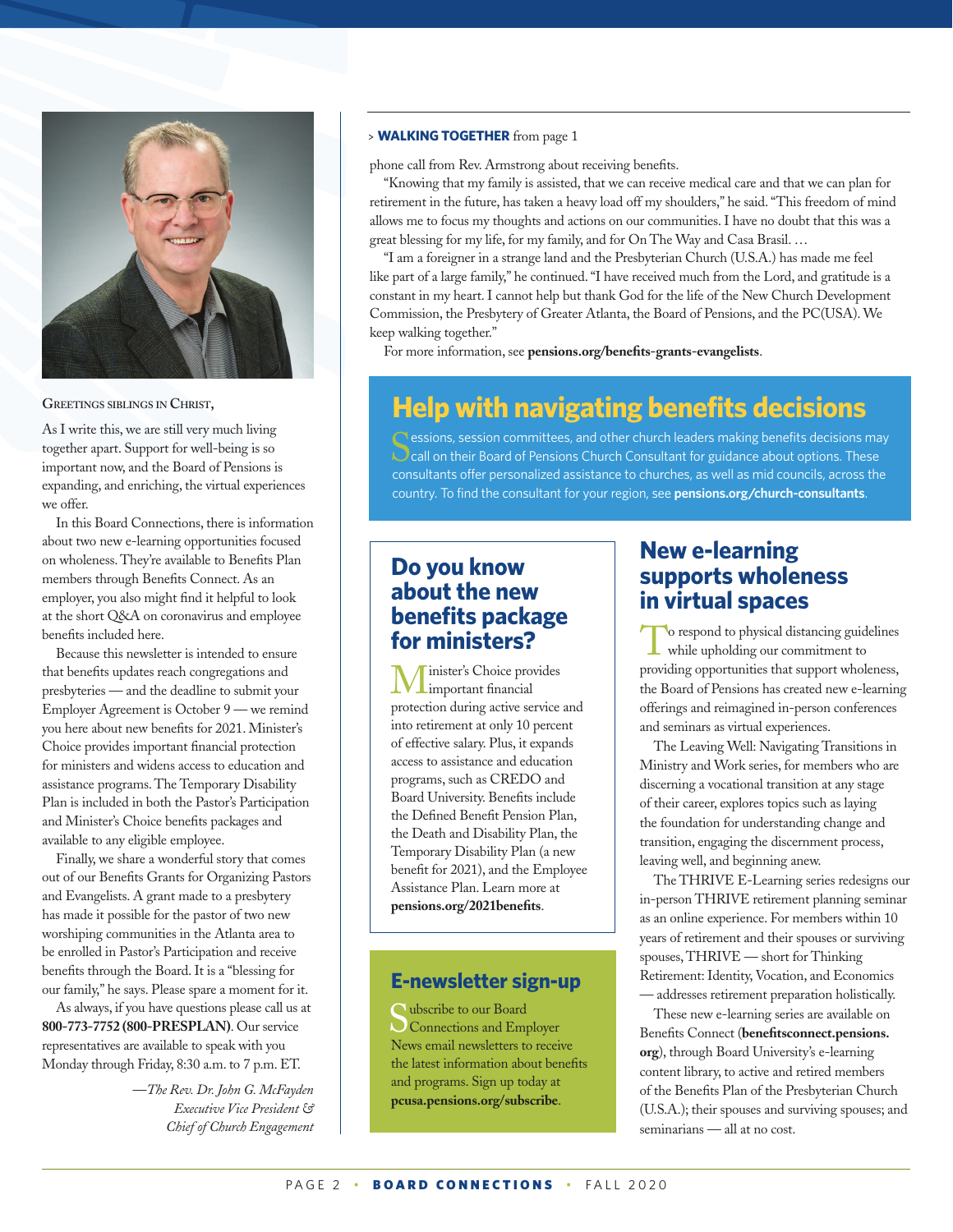

**GREETINGS SIBLINGS IN CHRIST,**

As I write this, we are still very much living together apart. Support for well-being is so important now, and the Board of Pensions is expanding, and enriching, the virtual experiences we offer.

In this Board Connections, there is information about two new e-learning opportunities focused on wholeness. They're available to Benefits Plan members through Benefits Connect. As an employer, you also might find it helpful to look at the short Q&A on coronavirus and employee benefits included here.

Because this newsletter is intended to ensure that benefits updates reach congregations and presbyteries — and the deadline to submit your Employer Agreement is October 9 — we remind you here about new benefits for 2021. Minister's Choice provides important financial protection for ministers and widens access to education and assistance programs. The Temporary Disability Plan is included in both the Pastor's Participation and Minister's Choice benefits packages and available to any eligible employee.

Finally, we share a wonderful story that comes out of our Benefits Grants for Organizing Pastors and Evangelists. A grant made to a presbytery has made it possible for the pastor of two new worshiping communities in the Atlanta area to be enrolled in Pastor's Participation and receive benefits through the Board. It is a "blessing for our family," he says. Please spare a moment for it.

As always, if you have questions please call us at **800-773-7752 (800-PRESPLAN)**. Our service representatives are available to speak with you Monday through Friday, 8:30 a.m. to 7 p.m. ET.

> —*The Rev. Dr. John G. McFayden Executive Vice President & Chief of Church Engagement*

### > **WALKING TOGETHER** from page 1

phone call from Rev. Armstrong about receiving benefits.

"Knowing that my family is assisted, that we can receive medical care and that we can plan for retirement in the future, has taken a heavy load off my shoulders," he said. "This freedom of mind allows me to focus my thoughts and actions on our communities. I have no doubt that this was a great blessing for my life, for my family, and for On The Way and Casa Brasil. …

"I am a foreigner in a strange land and the Presbyterian Church (U.S.A.) has made me feel like part of a large family," he continued. "I have received much from the Lord, and gratitude is a constant in my heart. I cannot help but thank God for the life of the New Church Development Commission, the Presbytery of Greater Atlanta, the Board of Pensions, and the PC(USA). We keep walking together."

For more information, see **pensions.org/benefits-grants-evangelists**.

# **Help with navigating benefits decisions**

C essions, session committees, and other church leaders making benefits decisions may **Call on their Board of Pensions Church Consultant for guidance about options. These** consultants offer personalized assistance to churches, as well as mid councils, across the country. To find the consultant for your region, see **pensions.org/church-consultants**.

# **Do you know about the new benefits package for ministers?**

inister's Choice provides important financial protection during active service and into retirement at only 10 percent of effective salary. Plus, it expands access to assistance and education programs, such as CREDO and Board University. Benefits include the Defined Benefit Pension Plan, the Death and Disability Plan, the Temporary Disability Plan (a new benefit for 2021), and the Employee Assistance Plan. Learn more at **pensions.org/2021benefits**.

# **E-newsletter sign-up**

Subscribe to our Board Connections and Employer News email newsletters to receive the latest information about benefits and programs. Sign up today at **pcusa.pensions.org/subscribe**.

# **New e-learning supports wholeness in virtual spaces**

To respond to physical distancing guidelines<br>while upholding our commitment to providing opportunities that support wholeness, the Board of Pensions has created new e-learning offerings and reimagined in-person conferences and seminars as virtual experiences.

The Leaving Well: Navigating Transitions in Ministry and Work series, for members who are discerning a vocational transition at any stage of their career, explores topics such as laying the foundation for understanding change and transition, engaging the discernment process, leaving well, and beginning anew.

The THRIVE E-Learning series redesigns our in-person THRIVE retirement planning seminar as an online experience. For members within 10 years of retirement and their spouses or surviving spouses, THRIVE — short for Thinking Retirement: Identity, Vocation, and Economics — addresses retirement preparation holistically.

These new e-learning series are available on Benefits Connect (**benefitsconnect.pensions. org**), through Board University's e-learning content library, to active and retired members of the Benefits Plan of the Presbyterian Church (U.S.A.); their spouses and surviving spouses; and seminarians — all at no cost.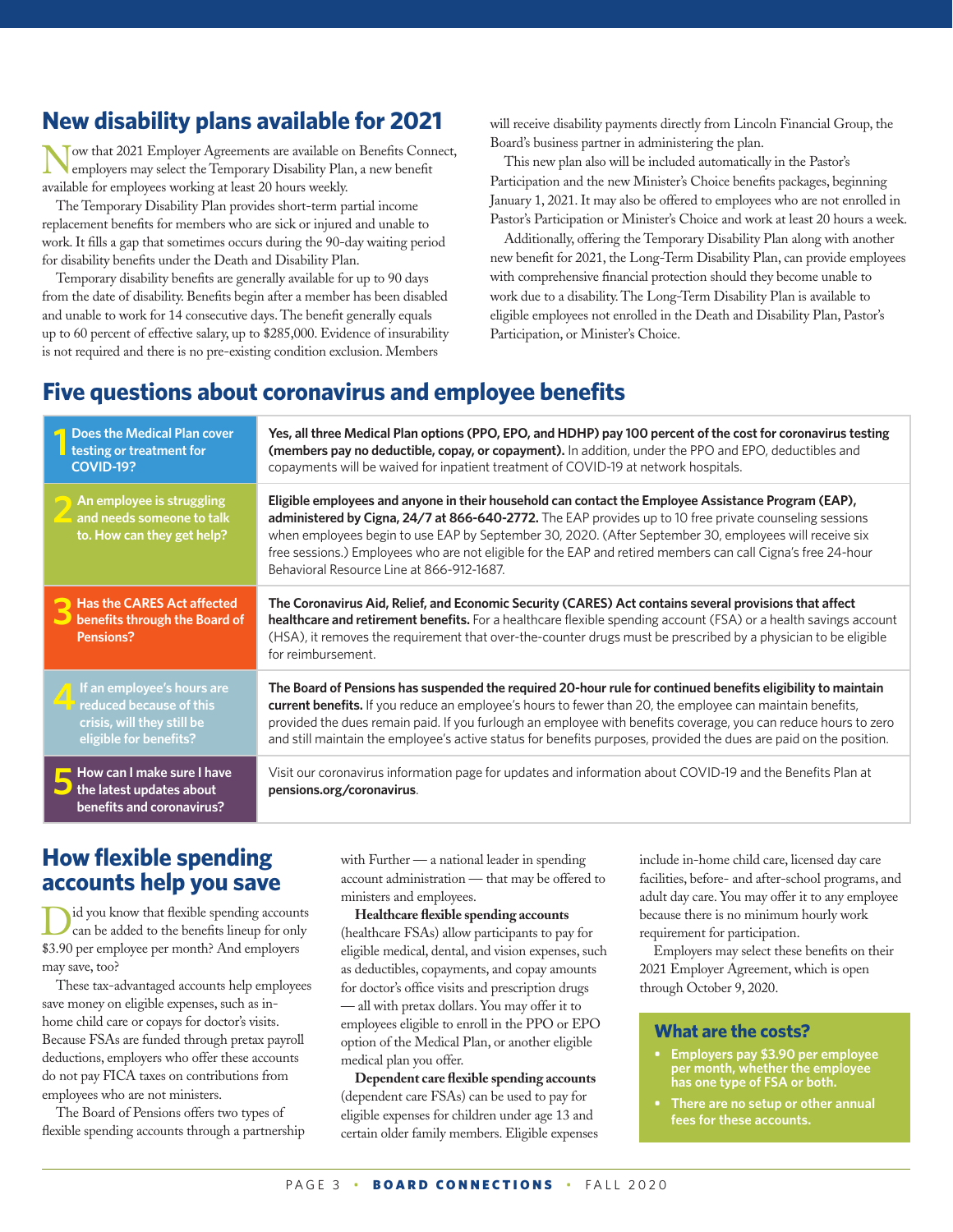# **New disability plans available for 2021**

Now that 2021 Employer Agreements are available on Benefits Connect, employers may select the Temporary Disability Plan, a new benefit available for employees working at least 20 hours weekly.

The Temporary Disability Plan provides short-term partial income replacement benefits for members who are sick or injured and unable to work. It fills a gap that sometimes occurs during the 90-day waiting period for disability benefits under the Death and Disability Plan.

Temporary disability benefits are generally available for up to 90 days from the date of disability. Benefits begin after a member has been disabled and unable to work for 14 consecutive days. The benefit generally equals up to 60 percent of effective salary, up to \$285,000. Evidence of insurability is not required and there is no pre-existing condition exclusion. Members

will receive disability payments directly from Lincoln Financial Group, the Board's business partner in administering the plan.

This new plan also will be included automatically in the Pastor's Participation and the new Minister's Choice benefits packages, beginning January 1, 2021. It may also be offered to employees who are not enrolled in Pastor's Participation or Minister's Choice and work at least 20 hours a week.

Additionally, offering the Temporary Disability Plan along with another new benefit for 2021, the Long-Term Disability Plan, can provide employees with comprehensive financial protection should they become unable to work due to a disability. The Long-Term Disability Plan is available to eligible employees not enrolled in the Death and Disability Plan, Pastor's Participation, or Minister's Choice.

# **Five questions about coronavirus and employee benefits**

| Does the Medical Plan cover<br>testing or treatment for<br><b>COVID-19?</b>                                            | Yes, all three Medical Plan options (PPO, EPO, and HDHP) pay 100 percent of the cost for coronavirus testing<br>(members pay no deductible, copay, or copayment). In addition, under the PPO and EPO, deductibles and<br>copayments will be waived for inpatient treatment of COVID-19 at network hospitals.                                                                                                                                                                          |
|------------------------------------------------------------------------------------------------------------------------|---------------------------------------------------------------------------------------------------------------------------------------------------------------------------------------------------------------------------------------------------------------------------------------------------------------------------------------------------------------------------------------------------------------------------------------------------------------------------------------|
| An employee is struggling<br>and needs someone to talk<br>to. How can they get help?                                   | Eligible employees and anyone in their household can contact the Employee Assistance Program (EAP),<br>administered by Cigna, 24/7 at 866-640-2772. The EAP provides up to 10 free private counseling sessions<br>when employees begin to use EAP by September 30, 2020. (After September 30, employees will receive six<br>free sessions.) Employees who are not eligible for the EAP and retired members can call Cigna's free 24-hour<br>Behavioral Resource Line at 866-912-1687. |
| <b>Has the CARES Act affected</b><br>benefits through the Board of<br><b>Pensions?</b>                                 | The Coronavirus Aid, Relief, and Economic Security (CARES) Act contains several provisions that affect<br>healthcare and retirement benefits. For a healthcare flexible spending account (FSA) or a health savings account<br>(HSA), it removes the requirement that over-the-counter drugs must be prescribed by a physician to be eligible<br>for reimbursement.                                                                                                                    |
| If an employee's hours are<br><b>T</b> reduced because of this<br>crisis, will they still be<br>eligible for benefits? | The Board of Pensions has suspended the required 20-hour rule for continued benefits eligibility to maintain<br>current benefits. If you reduce an employee's hours to fewer than 20, the employee can maintain benefits,<br>provided the dues remain paid. If you furlough an employee with benefits coverage, you can reduce hours to zero<br>and still maintain the employee's active status for benefits purposes, provided the dues are paid on the position.                    |
| How can I make sure I have<br>the latest updates about<br>benefits and coronavirus?                                    | Visit our coronavirus information page for updates and information about COVID-19 and the Benefits Plan at<br>pensions.org/coronavirus.                                                                                                                                                                                                                                                                                                                                               |

# **How flexible spending accounts help you save**

Did you know that flexible spending accounts can be added to the benefits lineup for only \$3.90 per employee per month? And employers may save, too?

These tax-advantaged accounts help employees save money on eligible expenses, such as inhome child care or copays for doctor's visits. Because FSAs are funded through pretax payroll deductions, employers who offer these accounts do not pay FICA taxes on contributions from employees who are not ministers.

The Board of Pensions offers two types of flexible spending accounts through a partnership with Further — a national leader in spending account administration — that may be offered to ministers and employees.

**Healthcare flexible spending accounts** (healthcare FSAs) allow participants to pay for eligible medical, dental, and vision expenses, such as deductibles, copayments, and copay amounts for doctor's office visits and prescription drugs — all with pretax dollars. You may offer it to employees eligible to enroll in the PPO or EPO option of the Medical Plan, or another eligible medical plan you offer.

**Dependent care flexible spending accounts** (dependent care FSAs) can be used to pay for eligible expenses for children under age 13 and certain older family members. Eligible expenses include in-home child care, licensed day care facilities, before- and after-school programs, and adult day care. You may offer it to any employee because there is no minimum hourly work requirement for participation.

Employers may select these benefits on their 2021 Employer Agreement, which is open through October 9, 2020.

## **What are the costs?**

- **Employers pay \$3.90 per employee per month, whether the employee has one type of FSA or both.**
- **There are no setup or other annual fees for these accounts.**